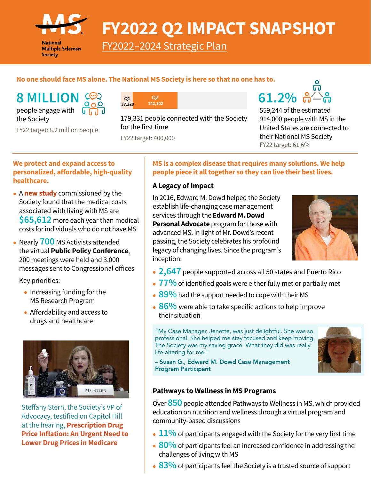

**National Multiple Sclerosis Society** 

# **FY2022 Q2 IMPACT SNAPSHOT**

[FY2022–2024 Strategic Plan](https://nmsscdn.azureedge.net/NationalMSSociety/media/MSNationalFiles/Documents/Strategy/FY2022-2024-Strategic-Plan_3.pdf)

## **No one should face MS alone. The National MS Society is here so that no one has to.**

**8 MILLION**  $\left( \bigcirc \right)$  **as**  $\left( \circ \right)$  **<b>61.2%**  $\left( \circ \right)$ people engage with the Society

FY22 target: 8.2 million people



179,331 people connected with the Society for the first time

FY22 target: 400,000

559,244 of the estimated 914,000 people with MS in the United States are connected to their National MS Society FY22 target: 61.6%

#### **We protect and expand access to personalized, affordable, high-quality healthcare.**

- <sup>A</sup>**[new study](https://www.nationalmssociety.org/About-the-Society/News/New-Study-Confirms-the-High-Costs-of-MS-to-Individ)** commissioned by the Society found that the medical costs associated with living with MS are **\$65,612** more each year than medical costs for individuals who do not have MS
- Nearly **700** MS Activists attended the virtual **Public Policy Conference**, 200 meetings were held and 3,000 messages sent to Congressional offices

Key priorities:

- Increasing funding for the MS Research Program
- Affordability and access to drugs and healthcare



Steffany Stern, the Society's VP of Advocacy, testified on Capitol Hill at the hearing, **[Prescription Drug](https://www.finance.senate.gov/hearings/prescription-drug-price-inflation-an-urgent-need-to-lower-drug-prices-in-medicare)  [Price Inflation: An Urgent Need to](https://www.finance.senate.gov/hearings/prescription-drug-price-inflation-an-urgent-need-to-lower-drug-prices-in-medicare)  [Lower Drug Prices in Medicare](https://www.finance.senate.gov/hearings/prescription-drug-price-inflation-an-urgent-need-to-lower-drug-prices-in-medicare)**

#### **MS is a complex disease that requires many solutions. We help people piece it all together so they can live their best lives.**

#### **A Legacy of Impact**

In 2016, Edward M. Dowd helped the Society establish life-changing case management services through the **Edward M. Dowd Personal Advocate** program for those with advanced MS. In light of Mr. Dowd's recent passing, the Society celebrates his profound legacy of changing lives. Since the program's inception:



- **2,647** people supported across all 50 states and Puerto Rico
- **77%** of identified goals were either fully met or partially met
- 89% had the support needed to cope with their MS
- 86% were able to take specific actions to help improve their situation

"My Case Manager, Jenette, was just delightful. She was so professional. She helped me stay focused and keep moving. The Society was my saving grace. What they did was really life-altering for me."



– Susan G., Edward M. Dowd Case Management Program Participant

#### **Pathways to Wellness in MS Programs**

Over **850** people attended Pathways to Wellness in MS, which provided education on nutrition and wellness through a virtual program and community-based discussions

- 11% of participants engaged with the Society for the very first time
- **80%** of participants feel an increased confidence in addressing the challenges of living with MS
- **83%** of participants feel the Society is a trusted source of support